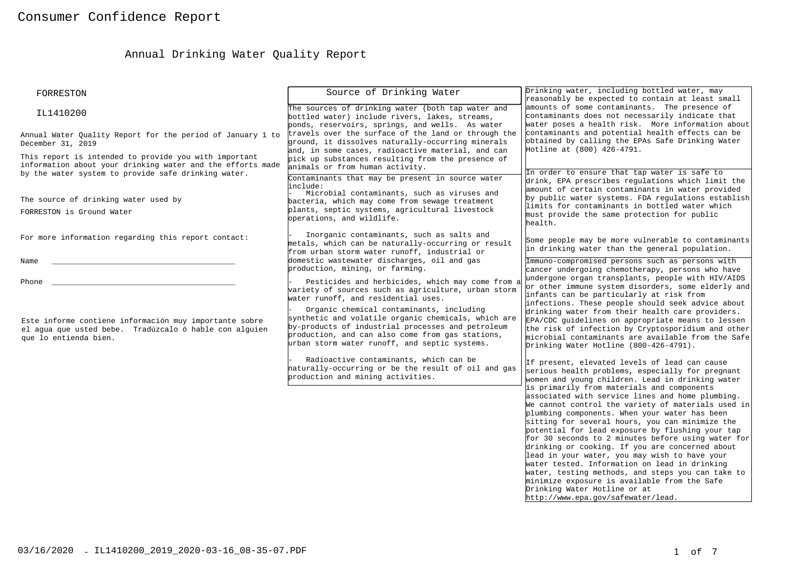# Annual Drinking Water Quality Report

| FORRESTON                                                                                                                                                                  | Source of Drinking Water                                                                                                                                                                                                                                  | Drinking water, including bottled water, may<br>reasonably be expected to contain at least small                                                                                                                                                                                                                                                                                                                                                                                                                                                                                                                                                                                                   |
|----------------------------------------------------------------------------------------------------------------------------------------------------------------------------|-----------------------------------------------------------------------------------------------------------------------------------------------------------------------------------------------------------------------------------------------------------|----------------------------------------------------------------------------------------------------------------------------------------------------------------------------------------------------------------------------------------------------------------------------------------------------------------------------------------------------------------------------------------------------------------------------------------------------------------------------------------------------------------------------------------------------------------------------------------------------------------------------------------------------------------------------------------------------|
| IL1410200                                                                                                                                                                  | The sources of drinking water (both tap water and<br>bottled water) include rivers, lakes, streams,<br>ponds, reservoirs, springs, and wells. As water                                                                                                    | amounts of some contaminants. The presence of<br>contaminants does not necessarily indicate that<br>water poses a health risk. More information about                                                                                                                                                                                                                                                                                                                                                                                                                                                                                                                                              |
| Annual Water Quality Report for the period of January 1 to<br>December 31, 2019                                                                                            | travels over the surface of the land or through the<br>ground, it dissolves naturally-occurring minerals<br>and, in some cases, radioactive material, and can                                                                                             | contaminants and potential health effects can be<br>obtained by calling the EPAs Safe Drinking Water<br>Hotline at (800) 426-4791.                                                                                                                                                                                                                                                                                                                                                                                                                                                                                                                                                                 |
| This report is intended to provide you with important<br>information about your drinking water and the efforts made<br>by the water system to provide safe drinking water. | pick up substances resulting from the presence of<br>animals or from human activity.<br>Contaminants that may be present in source water                                                                                                                  | In order to ensure that tap water is safe to                                                                                                                                                                                                                                                                                                                                                                                                                                                                                                                                                                                                                                                       |
| The source of drinking water used by<br>FORRESTON is Ground Water                                                                                                          | linclude:<br>Microbial contaminants, such as viruses and<br>bacteria, which may come from sewage treatment<br>plants, septic systems, agricultural livestock<br>operations, and wildlife.                                                                 | drink, EPA prescribes regulations which limit the<br>amount of certain contaminants in water provided<br>by public water systems. FDA regulations establish<br>limits for contaminants in bottled water which<br>must provide the same protection for public<br>health.                                                                                                                                                                                                                                                                                                                                                                                                                            |
| For more information regarding this report contact:                                                                                                                        | Inorganic contaminants, such as salts and<br>metals, which can be naturally-occurring or result<br>from urban storm water runoff, industrial or                                                                                                           | Some people may be more vulnerable to contaminants<br>in drinking water than the general population.                                                                                                                                                                                                                                                                                                                                                                                                                                                                                                                                                                                               |
| Name                                                                                                                                                                       | domestic wastewater discharges, oil and gas<br>production, mining, or farming.                                                                                                                                                                            | Immuno-compromised persons such as persons with<br>cancer undergoing chemotherapy, persons who have<br>undergone organ transplants, people with HIV/AIDS                                                                                                                                                                                                                                                                                                                                                                                                                                                                                                                                           |
| Phone                                                                                                                                                                      | Pesticides and herbicides, which may come from a<br>variety of sources such as agriculture, urban storm<br>water runoff, and residential uses.                                                                                                            | or other immune system disorders, some elderly and<br>infants can be particularly at risk from<br>infections. These people should seek advice about                                                                                                                                                                                                                                                                                                                                                                                                                                                                                                                                                |
| Este informe contiene información muy importante sobre<br>el aqua que usted bebe. Tradúzcalo ó hable con alquien<br>que lo entienda bien.                                  | Organic chemical contaminants, including<br>synthetic and volatile organic chemicals, which are<br>by-products of industrial processes and petroleum<br>production, and can also come from gas stations,<br>urban storm water runoff, and septic systems. | drinking water from their health care providers.<br>EPA/CDC guidelines on appropriate means to lessen<br>the risk of infection by Cryptosporidium and other<br>microbial contaminants are available from the Safe<br>Drinking Water Hotline (800-426-4791).                                                                                                                                                                                                                                                                                                                                                                                                                                        |
|                                                                                                                                                                            | Radioactive contaminants, which can be<br>haturally-occurring or be the result of oil and gas<br>production and mining activities.                                                                                                                        | If present, elevated levels of lead can cause<br>serious health problems, especially for pregnant<br>women and young children. Lead in drinking water                                                                                                                                                                                                                                                                                                                                                                                                                                                                                                                                              |
|                                                                                                                                                                            |                                                                                                                                                                                                                                                           | is primarily from materials and components<br>associated with service lines and home plumbing.<br>We cannot control the variety of materials used in<br>plumbing components. When your water has been<br>sitting for several hours, you can minimize the<br>potential for lead exposure by flushing your tap<br>for 30 seconds to 2 minutes before using water for<br>drinking or cooking. If you are concerned about<br>lead in your water, you may wish to have your<br>water tested. Information on lead in drinking<br>water, testing methods, and steps you can take to<br>minimize exposure is available from the Safe<br>Drinking Water Hotline or at<br>http://www.epa.gov/safewater/lead. |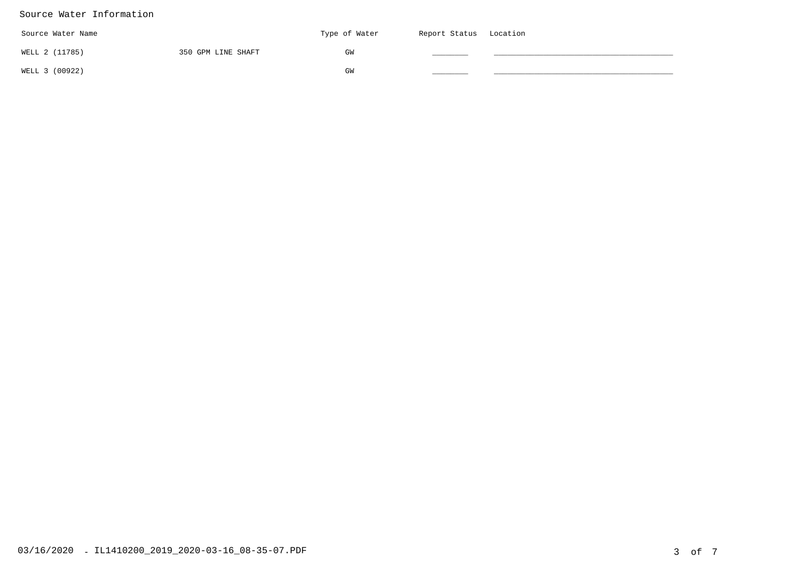#### Source Water Information

| Source Water Name |                    | Type of Water | Report Status Location |  |
|-------------------|--------------------|---------------|------------------------|--|
| WELL 2 (11785)    | 350 GPM LINE SHAFT | GW            |                        |  |
| WELL 3 (00922)    |                    | GM            |                        |  |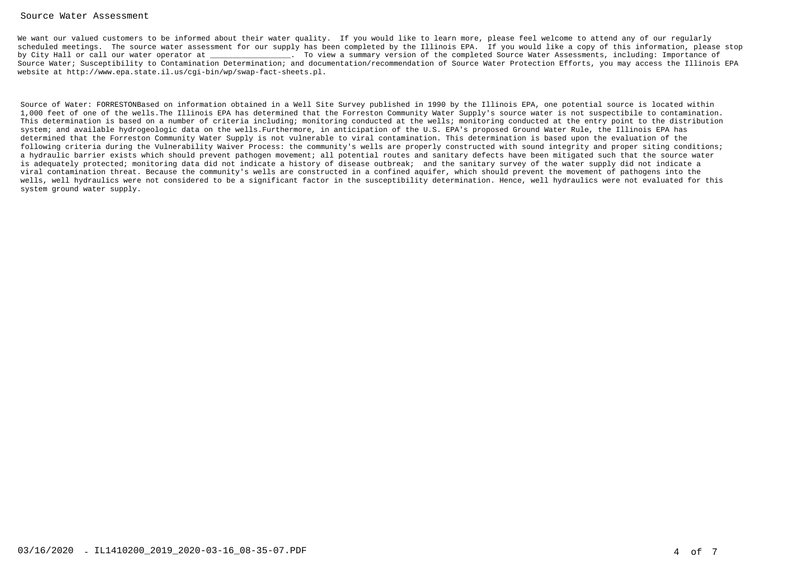#### Source Water Assessment

We want our valued customers to be informed about their water quality. If you would like to learn more, please feel welcome to attend any of our regularly scheduled meetings. The source water assessment for our supply has been completed by the Illinois EPA. If you would like a copy of this information, please stopby City Hall or call our water operator at  $\qquad \qquad$  . To view a summary version of the completed Source Water Assessments, including: Importance of Source Water; Susceptibility to Contamination Determination; and documentation/recommendation of Source Water Protection Efforts, you may access the Illinois EPAwebsite at http://www.epa.state.il.us/cgi-bin/wp/swap-fact-sheets.pl.

Source of Water: FORRESTONBased on information obtained in a Well Site Survey published in 1990 by the Illinois EPA, one potential source is located within 1,000 feet of one of the wells.The Illinois EPA has determined that the Forreston Community Water Supply's source water is not suspectibile to contamination. This determination is based on a number of criteria including; monitoring conducted at the wells; monitoring conducted at the entry point to the distributionsystem; and available hydrogeologic data on the wells.Furthermore, in anticipation of the U.S. EPA's proposed Ground Water Rule, the Illinois EPA has determined that the Forreston Community Water Supply is not vulnerable to viral contamination. This determination is based upon the evaluation of the following criteria during the Vulnerability Waiver Process: the community's wells are properly constructed with sound integrity and proper siting conditions;a hydraulic barrier exists which should prevent pathogen movement; all potential routes and sanitary defects have been mitigated such that the source wateris adequately protected; monitoring data did not indicate a history of disease outbreak; and the sanitary survey of the water supply did not indicate a viral contamination threat. Because the community's wells are constructed in a confined aquifer, which should prevent the movement of pathogens into the wells, well hydraulics were not considered to be a significant factor in the susceptibility determination. Hence, well hydraulics were not evaluated for thissystem ground water supply.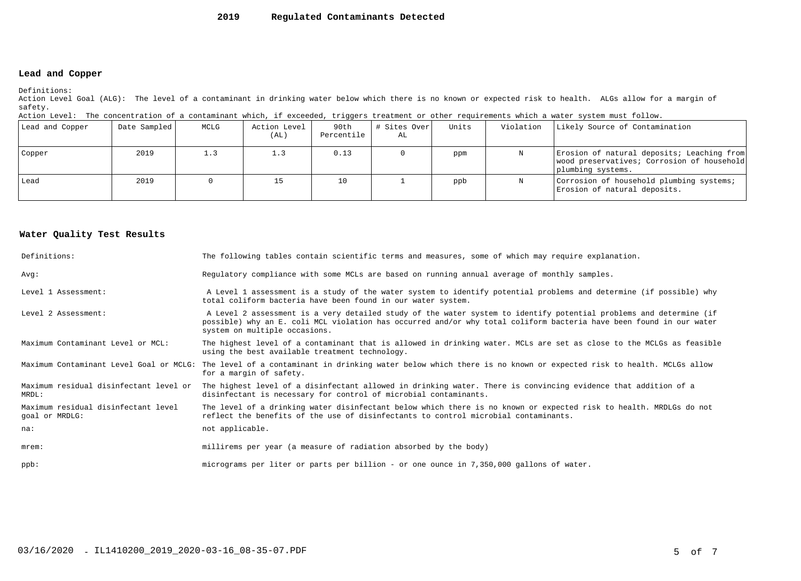#### **2019Regulated Contaminants Detected**

### **Lead and Copper**

Definitions:

 Action Level Goal (ALG): The level of a contaminant in drinking water below which there is no known or expected risk to health. ALGs allow for a margin ofsafety.

| Action Level: The concentration of a contaminant which, if exceeded, triggers treatment or other requirements which a water system must follow. |  |  |  |
|-------------------------------------------------------------------------------------------------------------------------------------------------|--|--|--|
|                                                                                                                                                 |  |  |  |

| Lead and Copper | Date Sampled | MCLG | Action Level<br>(AL) | 90th<br>Percentile | # Sites Over<br>AL | Units | Violation | Likely Source of Contamination                                                                                |
|-----------------|--------------|------|----------------------|--------------------|--------------------|-------|-----------|---------------------------------------------------------------------------------------------------------------|
| Copper          | 2019         | 1.3  | 1.3                  | 0.13               |                    | ppm   |           | Erosion of natural deposits; Leaching from<br>wood preservatives; Corrosion of household<br>plumbing systems. |
| l Lead          | 2019         |      | 15                   | 10                 |                    | ppb   |           | Corrosion of household plumbing systems;<br>Erosion of natural deposits.                                      |

#### **Water Quality Test Results**

| Definitions:                                          | The following tables contain scientific terms and measures, some of which may require explanation.                                                                                                                                                                         |
|-------------------------------------------------------|----------------------------------------------------------------------------------------------------------------------------------------------------------------------------------------------------------------------------------------------------------------------------|
| Avq:                                                  | Regulatory compliance with some MCLs are based on running annual average of monthly samples.                                                                                                                                                                               |
| Level 1 Assessment:                                   | A Level 1 assessment is a study of the water system to identify potential problems and determine (if possible) why<br>total coliform bacteria have been found in our water system.                                                                                         |
| Level 2 Assessment:                                   | A Level 2 assessment is a very detailed study of the water system to identify potential problems and determine (if<br>possible) why an E. coli MCL violation has occurred and/or why total coliform bacteria have been found in our water<br>system on multiple occasions. |
| Maximum Contaminant Level or MCL:                     | The highest level of a contaminant that is allowed in drinking water. MCLs are set as close to the MCLGs as feasible<br>using the best available treatment technology.                                                                                                     |
| Maximum Contaminant Level Goal or MCLG:               | The level of a contaminant in drinking water below which there is no known or expected risk to health. MCLGs allow<br>for a margin of safety.                                                                                                                              |
| Maximum residual disinfectant level or<br>MRDL:       | The highest level of a disinfectant allowed in drinking water. There is convincing evidence that addition of a<br>disinfectant is necessary for control of microbial contaminants.                                                                                         |
| Maximum residual disinfectant level<br>goal or MRDLG: | The level of a drinking water disinfectant below which there is no known or expected risk to health. MRDLGs do not<br>reflect the benefits of the use of disinfectants to control microbial contaminants.                                                                  |
| na:                                                   | not applicable.                                                                                                                                                                                                                                                            |
| $m$ rem:                                              | millirems per year (a measure of radiation absorbed by the body)                                                                                                                                                                                                           |
| $ppb$ :                                               | micrograms per liter or parts per billion - or one ounce in 7,350,000 gallons of water.                                                                                                                                                                                    |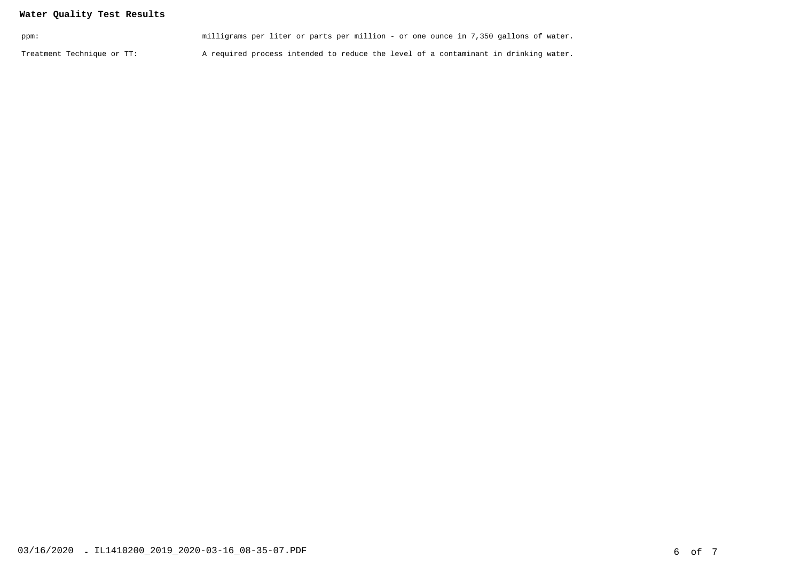## **Water Quality Test Results**

| ppm:                       | milligrams per liter or parts per million - or one ounce in 7,350 gallons of water. |  |
|----------------------------|-------------------------------------------------------------------------------------|--|
| Treatment Technique or TT: | A required process intended to reduce the level of a contaminant in drinking water. |  |